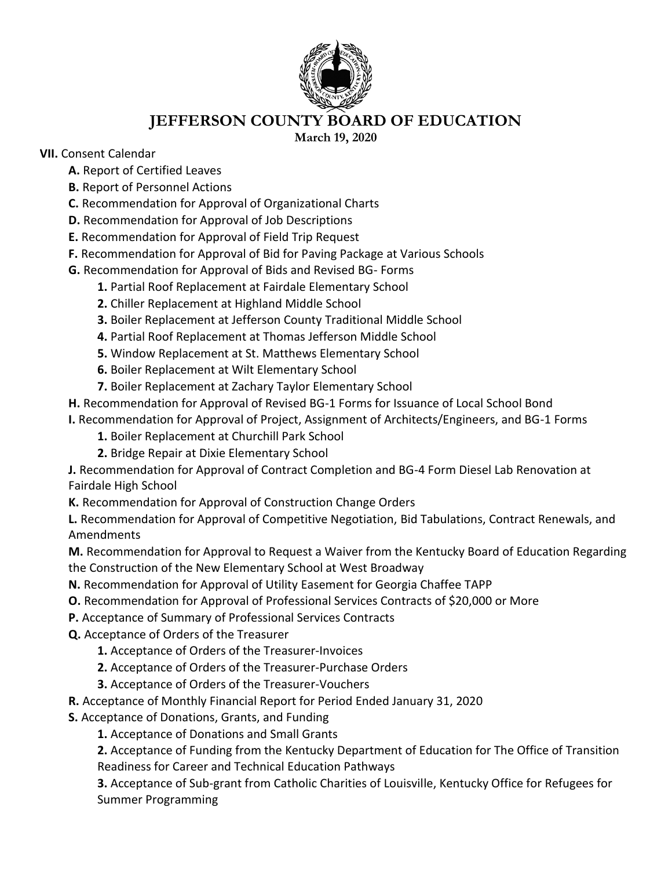

## **JEFFERSON COUNTY BOARD OF EDUCATION**

**March 19, 2020**

## **VII.** Consent Calendar

**A.** Report of Certified Leaves

- **B.** Report of Personnel Actions
- **C.** Recommendation for Approval of Organizational Charts
- **D.** Recommendation for Approval of Job Descriptions
- **E.** Recommendation for Approval of Field Trip Request
- **F.** Recommendation for Approval of Bid for Paving Package at Various Schools
- **G.** Recommendation for Approval of Bids and Revised BG- Forms
	- **1.** Partial Roof Replacement at Fairdale Elementary School
	- **2.** Chiller Replacement at Highland Middle School
	- **3.** Boiler Replacement at Jefferson County Traditional Middle School
	- **4.** Partial Roof Replacement at Thomas Jefferson Middle School
	- **5.** Window Replacement at St. Matthews Elementary School
	- **6.** Boiler Replacement at Wilt Elementary School
	- **7.** Boiler Replacement at Zachary Taylor Elementary School
- **H.** Recommendation for Approval of Revised BG-1 Forms for Issuance of Local School Bond
- **I.** Recommendation for Approval of Project, Assignment of Architects/Engineers, and BG-1 Forms
	- **1.** Boiler Replacement at Churchill Park School
	- **2.** Bridge Repair at Dixie Elementary School

**J.** Recommendation for Approval of Contract Completion and BG-4 Form Diesel Lab Renovation at Fairdale High School

**K.** Recommendation for Approval of Construction Change Orders

**L.** Recommendation for Approval of Competitive Negotiation, Bid Tabulations, Contract Renewals, and Amendments

**M.** Recommendation for Approval to Request a Waiver from the Kentucky Board of Education Regarding the Construction of the New Elementary School at West Broadway

- **N.** Recommendation for Approval of Utility Easement for Georgia Chaffee TAPP
- **O.** Recommendation for Approval of Professional Services Contracts of \$20,000 or More
- **P.** Acceptance of Summary of Professional Services Contracts
- **Q.** Acceptance of Orders of the Treasurer
	- **1.** Acceptance of Orders of the Treasurer-Invoices
	- **2.** Acceptance of Orders of the Treasurer-Purchase Orders
	- **3.** Acceptance of Orders of the Treasurer-Vouchers
- **R.** Acceptance of Monthly Financial Report for Period Ended January 31, 2020
- **S.** Acceptance of Donations, Grants, and Funding
	- **1.** Acceptance of Donations and Small Grants

**2.** Acceptance of Funding from the Kentucky Department of Education for The Office of Transition Readiness for Career and Technical Education Pathways

**3.** Acceptance of Sub-grant from Catholic Charities of Louisville, Kentucky Office for Refugees for Summer Programming